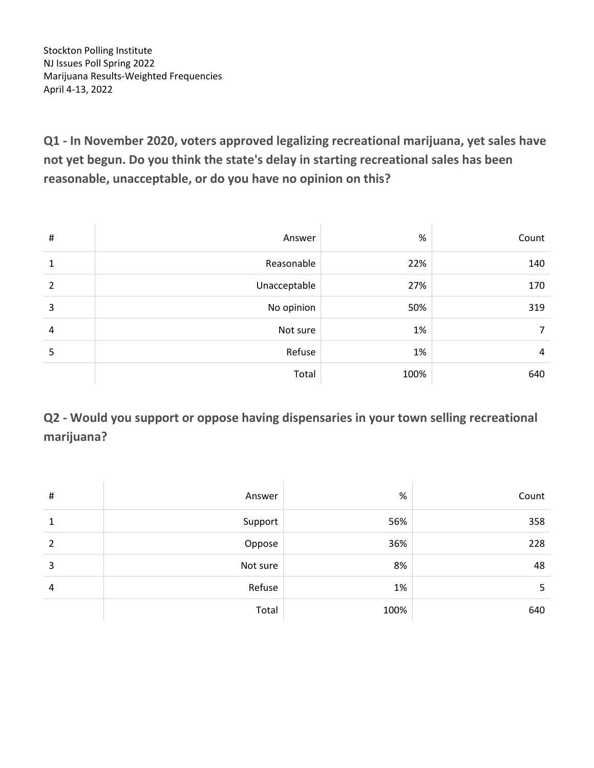Stockton Polling Institute NJ Issues Poll Spring 2022 Marijuana Results-Weighted Frequencies April 4-13, 2022

**Q1 - In November 2020, voters approved legalizing recreational marijuana, yet sales have not yet begun. Do you think the state's delay in starting recreational sales has been reasonable, unacceptable, or do you have no opinion on this?**

| $\#$ | Answer       | %    | Count |
|------|--------------|------|-------|
| 1    | Reasonable   | 22%  | 140   |
| 2    | Unacceptable | 27%  | 170   |
| 3    | No opinion   | 50%  | 319   |
| 4    | Not sure     | 1%   | 7     |
| 5    | Refuse       | 1%   | 4     |
|      | Total        | 100% | 640   |

**Q2 - Would you support or oppose having dispensaries in your town selling recreational marijuana?**

| # | Answer   | %    | Count |
|---|----------|------|-------|
| 1 | Support  | 56%  | 358   |
| 2 | Oppose   | 36%  | 228   |
| 3 | Not sure | 8%   | 48    |
| 4 | Refuse   | 1%   | 5     |
|   | Total    | 100% | 640   |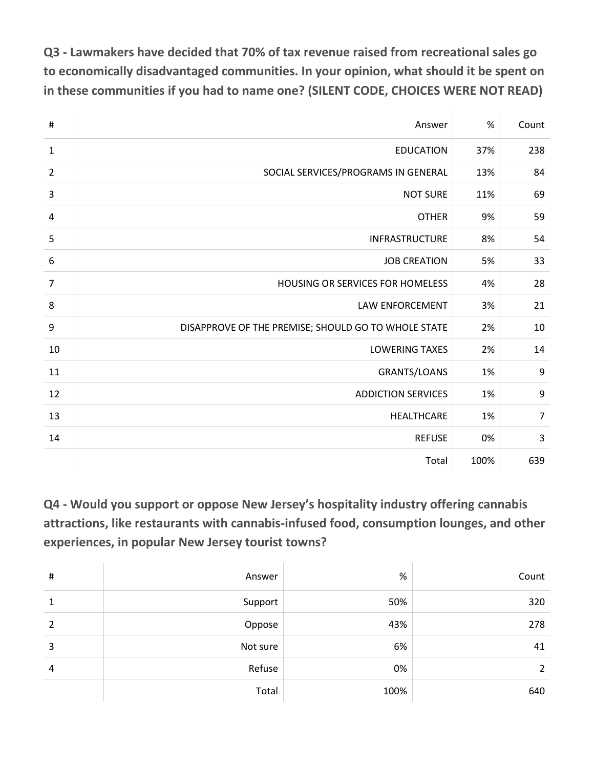**Q3 - Lawmakers have decided that 70% of tax revenue raised from recreational sales go to economically disadvantaged communities. In your opinion, what should it be spent on in these communities if you had to name one? (SILENT CODE, CHOICES WERE NOT READ)**

| #                | Answer                                              |      | Count          |
|------------------|-----------------------------------------------------|------|----------------|
| $\mathbf{1}$     | <b>EDUCATION</b>                                    | 37%  | 238            |
| $\overline{2}$   | SOCIAL SERVICES/PROGRAMS IN GENERAL                 | 13%  | 84             |
| 3                | <b>NOT SURE</b>                                     | 11%  | 69             |
| $\overline{a}$   | <b>OTHER</b>                                        | 9%   | 59             |
| 5                | <b>INFRASTRUCTURE</b>                               | 8%   | 54             |
| $\boldsymbol{6}$ | <b>JOB CREATION</b>                                 | 5%   | 33             |
| $\overline{7}$   | HOUSING OR SERVICES FOR HOMELESS                    | 4%   | 28             |
| 8                | LAW ENFORCEMENT                                     | 3%   | 21             |
| 9                | DISAPPROVE OF THE PREMISE; SHOULD GO TO WHOLE STATE | 2%   | 10             |
| 10               | <b>LOWERING TAXES</b>                               | 2%   | 14             |
| 11               | <b>GRANTS/LOANS</b>                                 | 1%   | 9              |
| 12               | <b>ADDICTION SERVICES</b>                           | 1%   | 9              |
| 13               | HEALTHCARE                                          | 1%   | $\overline{7}$ |
| 14               | <b>REFUSE</b>                                       | 0%   | 3              |
|                  | Total                                               | 100% | 639            |

**Q4 - Would you support or oppose New Jersey's hospitality industry offering cannabis attractions, like restaurants with cannabis-infused food, consumption lounges, and other experiences, in popular New Jersey tourist towns?**

| # | Answer   | %    | Count |
|---|----------|------|-------|
| 1 | Support  | 50%  | 320   |
| 2 | Oppose   | 43%  | 278   |
| 3 | Not sure | 6%   | 41    |
| 4 | Refuse   | 0%   | 2     |
|   | Total    | 100% | 640   |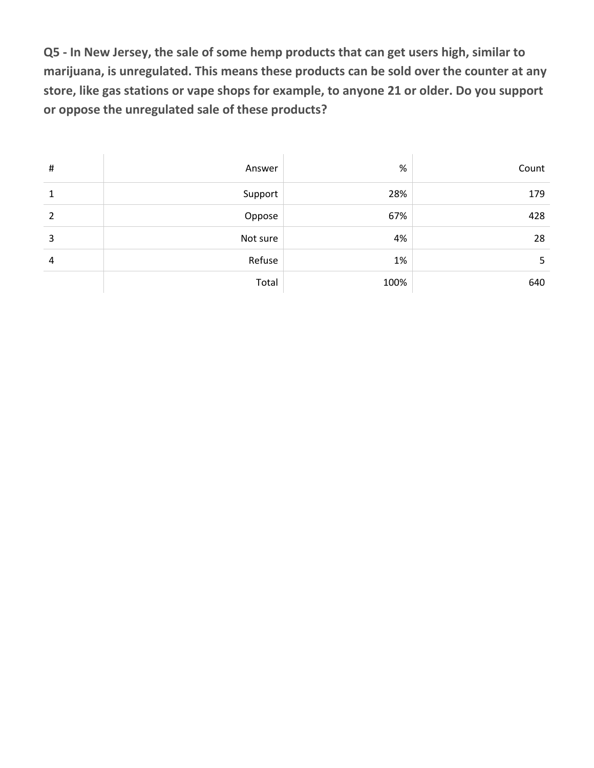**Q5 - In New Jersey, the sale of some hemp products that can get users high, similar to marijuana, is unregulated. This means these products can be sold over the counter at any store, like gas stations or vape shops for example, to anyone 21 or older. Do you support or oppose the unregulated sale of these products?**

| # | Answer   | %    | Count |
|---|----------|------|-------|
| 1 | Support  | 28%  | 179   |
| 2 | Oppose   | 67%  | 428   |
| 3 | Not sure | 4%   | 28    |
| 4 | Refuse   | 1%   | 5     |
|   | Total    | 100% | 640   |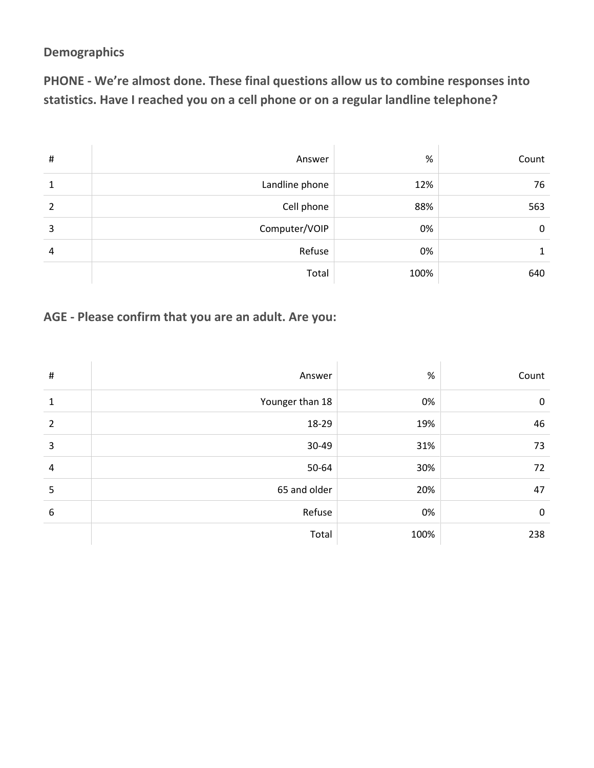#### **Demographics**

**PHONE - We're almost done. These final questions allow us to combine responses into statistics. Have I reached you on a cell phone or on a regular landline telephone?**

| $\sharp$ | Answer         | %    | Count |
|----------|----------------|------|-------|
| 1        | Landline phone | 12%  | 76    |
| 2        | Cell phone     | 88%  | 563   |
| 3        | Computer/VOIP  | 0%   | 0     |
| 4        | Refuse         | 0%   |       |
|          | Total          | 100% | 640   |

### **AGE - Please confirm that you are an adult. Are you:**

| $\#$           | Answer          | $\%$ | Count       |
|----------------|-----------------|------|-------------|
| 1              | Younger than 18 | 0%   | $\mathbf 0$ |
| $\overline{2}$ | 18-29           | 19%  | 46          |
| 3              | 30-49           | 31%  | 73          |
| $\overline{4}$ | 50-64           | 30%  | 72          |
| 5              | 65 and older    | 20%  | 47          |
| 6              | Refuse          | 0%   | $\mathbf 0$ |
|                | Total           | 100% | 238         |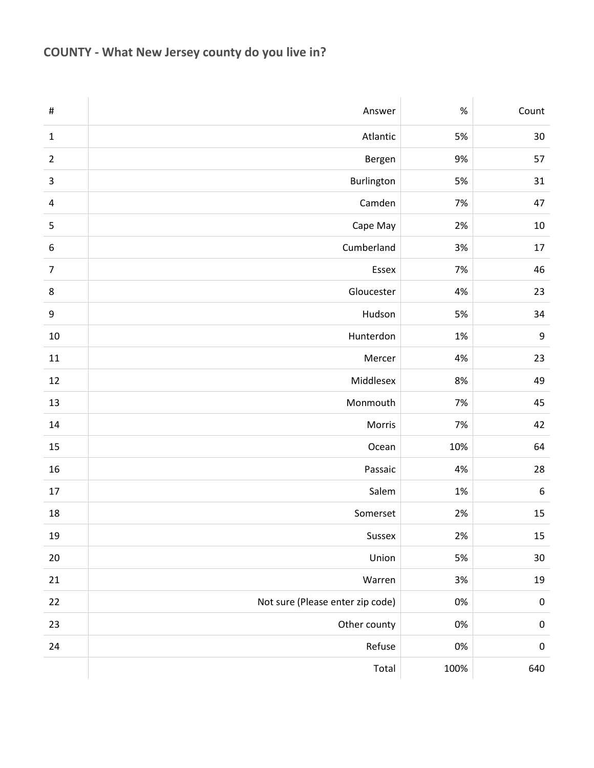# **COUNTY - What New Jersey county do you live in?**

| $\#$                    | Answer                           | $\%$  | Count            |
|-------------------------|----------------------------------|-------|------------------|
| $\mathbf 1$             | Atlantic                         | 5%    | 30               |
| $\overline{2}$          | Bergen                           | 9%    | 57               |
| $\mathsf 3$             | Burlington                       | 5%    | 31               |
| $\overline{\mathbf{4}}$ | Camden                           | 7%    | 47               |
| $\mathsf S$             | Cape May                         | 2%    | 10               |
| $\boldsymbol{6}$        | Cumberland                       | 3%    | 17               |
| $\overline{7}$          | Essex                            | 7%    | 46               |
| 8                       | Gloucester                       | 4%    | 23               |
| 9                       | Hudson                           | 5%    | 34               |
| 10                      | Hunterdon                        | 1%    | $\boldsymbol{9}$ |
| ${\bf 11}$              | Mercer                           | 4%    | 23               |
| 12                      | Middlesex                        | 8%    | 49               |
| 13                      | Monmouth                         | 7%    | 45               |
| 14                      | Morris                           | 7%    | 42               |
| 15                      | Ocean                            | 10%   | 64               |
| 16                      | Passaic                          | 4%    | 28               |
| 17                      | Salem                            | $1\%$ | $\boldsymbol{6}$ |
| 18                      | Somerset                         | 2%    | 15               |
| $19\,$                  | Sussex                           | $2\%$ | $15\,$           |
| $20\,$                  | Union                            | 5%    | $30\,$           |
| $21\,$                  | Warren                           | 3%    | 19               |
| 22                      | Not sure (Please enter zip code) | $0\%$ | $\pmb{0}$        |
| 23                      | Other county                     | $0\%$ | $\pmb{0}$        |
| 24                      | Refuse                           | $0\%$ | $\pmb{0}$        |
|                         | Total                            | 100%  | 640              |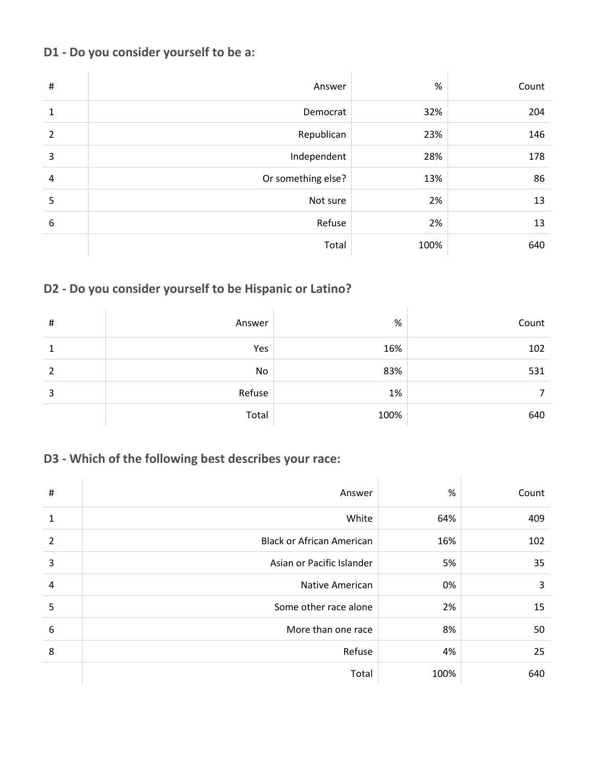### **D1 - Do you consider yourself to be a:**

| $\sharp$       | Answer             | %    | Count |
|----------------|--------------------|------|-------|
| $\mathbf{1}$   | Democrat           | 32%  | 204   |
| $\overline{2}$ | Republican         | 23%  | 146   |
| 3              | Independent        | 28%  | 178   |
| $\overline{4}$ | Or something else? | 13%  | 86    |
| 5              | Not sure           | 2%   | 13    |
| 6              | Refuse             | 2%   | 13    |
|                | Total              | 100% | 640   |

## **D2 - Do you consider yourself to be Hispanic or Latino?**

| # | Answer | $\%$ | Count |
|---|--------|------|-------|
| 1 | Yes    | 16%  | 102   |
| 2 | No     | 83%  | 531   |
| 3 | Refuse | 1%   | 7     |
|   | Total  | 100% | 640   |

## **D3 - Which of the following best describes your race:**

| $\#$           | Answer                           | %    | Count |
|----------------|----------------------------------|------|-------|
| 1              | White                            | 64%  | 409   |
| $\overline{2}$ | <b>Black or African American</b> | 16%  | 102   |
| 3              | Asian or Pacific Islander        | 5%   | 35    |
| 4              | Native American                  | 0%   | 3     |
| 5              | Some other race alone            | 2%   | 15    |
| 6              | More than one race               | 8%   | 50    |
| 8              | Refuse                           | 4%   | 25    |
|                | Total                            | 100% | 640   |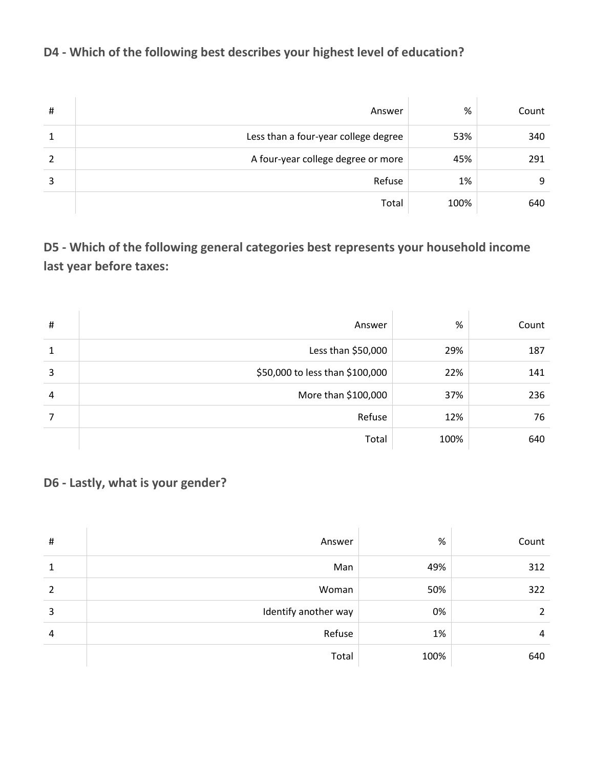## **D4 - Which of the following best describes your highest level of education?**

| #             | Answer                               | %    | Count |
|---------------|--------------------------------------|------|-------|
| 1             | Less than a four-year college degree | 53%  | 340   |
| $\mathcal{P}$ | A four-year college degree or more   | 45%  | 291   |
| 3             | Refuse                               | 1%   | 9     |
|               | Total                                | 100% | 640   |

# **D5 - Which of the following general categories best represents your household income last year before taxes:**

| $\#$ | Answer                          | $\%$ | Count |
|------|---------------------------------|------|-------|
| 1    | Less than \$50,000              | 29%  | 187   |
| 3    | \$50,000 to less than \$100,000 | 22%  | 141   |
| 4    | More than \$100,000             | 37%  | 236   |
| 7    | Refuse                          | 12%  | 76    |
|      | Total                           | 100% | 640   |

**D6 - Lastly, what is your gender?**

| $\sharp$ | Answer               | %    | Count |
|----------|----------------------|------|-------|
| 1        | Man                  | 49%  | 312   |
| 2        | Woman                | 50%  | 322   |
| 3        | Identify another way | 0%   | 2     |
| 4        | Refuse               | 1%   | 4     |
|          | Total                | 100% | 640   |